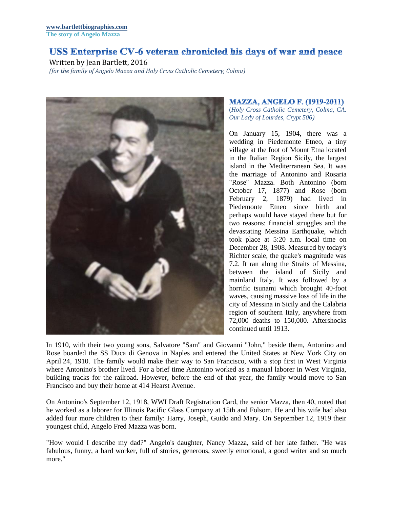## USS Enterprise CV-6 veteran chronicled his days of war and peace

Written by Jean Bartlett, 2016

*(for the family of Angelo Mazza and Holy Cross Catholic Cemetery, Colma)*



## **MAZZA, ANGELO F. (1919-2011)**

(*Holy Cross Catholic Cemetery, Colma, CA. Our Lady of Lourdes, Crypt 506)*

On January 15, 1904, there was a wedding in Piedemonte Etneo, a tiny village at the foot of Mount Etna located in the Italian Region Sicily, the largest island in the Mediterranean Sea. It was the marriage of Antonino and Rosaria "Rose" Mazza. Both Antonino (born October 17, 1877) and Rose (born February 2, 1879) had lived in Piedemonte Etneo since birth and perhaps would have stayed there but for two reasons: financial struggles and the devastating Messina Earthquake, which took place at 5:20 a.m. local time on December 28, 1908. Measured by today's Richter scale, the quake's magnitude was 7.2. It ran along the Straits of Messina, between the island of Sicily and mainland Italy. It was followed by a horrific tsunami which brought 40-foot waves, causing massive loss of life in the city of Messina in Sicily and the Calabria region of southern Italy, anywhere from 72,000 deaths to 150,000. Aftershocks continued until 1913.

In 1910, with their two young sons, Salvatore "Sam" and Giovanni "John," beside them, Antonino and Rose boarded the SS Duca di Genova in Naples and entered the United States at New York City on April 24, 1910. The family would make their way to San Francisco, with a stop first in West Virginia where Antonino's brother lived. For a brief time Antonino worked as a manual laborer in West Virginia, building tracks for the railroad. However, before the end of that year, the family would move to San Francisco and buy their home at 414 Hearst Avenue.

On Antonino's September 12, 1918, WWI Draft Registration Card, the senior Mazza, then 40, noted that he worked as a laborer for Illinois Pacific Glass Company at 15th and Folsom. He and his wife had also added four more children to their family: Harry, Joseph, Guido and Mary. On September 12, 1919 their youngest child, Angelo Fred Mazza was born.

"How would I describe my dad?" Angelo's daughter, Nancy Mazza, said of her late father. "He was fabulous, funny, a hard worker, full of stories, generous, sweetly emotional, a good writer and so much more."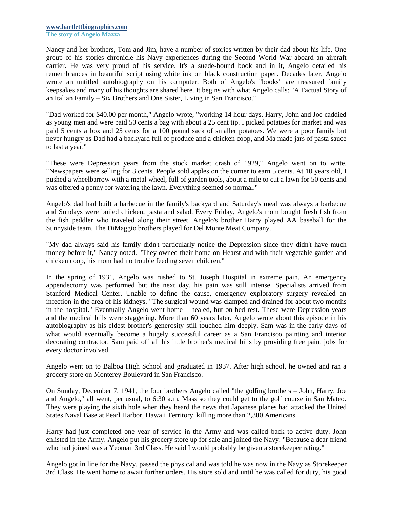Nancy and her brothers, Tom and Jim, have a number of stories written by their dad about his life. One group of his stories chronicle his Navy experiences during the Second World War aboard an aircraft carrier. He was very proud of his service. It's a suede-bound book and in it, Angelo detailed his remembrances in beautiful script using white ink on black construction paper. Decades later, Angelo wrote an untitled autobiography on his computer. Both of Angelo's "books" are treasured family keepsakes and many of his thoughts are shared here. It begins with what Angelo calls: "A Factual Story of an Italian Family – Six Brothers and One Sister, Living in San Francisco."

"Dad worked for \$40.00 per month," Angelo wrote, "working 14 hour days. Harry, John and Joe caddied as young men and were paid 50 cents a bag with about a 25 cent tip. I picked potatoes for market and was paid 5 cents a box and 25 cents for a 100 pound sack of smaller potatoes. We were a poor family but never hungry as Dad had a backyard full of produce and a chicken coop, and Ma made jars of pasta sauce to last a year."

"These were Depression years from the stock market crash of 1929," Angelo went on to write. "Newspapers were selling for 3 cents. People sold apples on the corner to earn 5 cents. At 10 years old, I pushed a wheelbarrow with a metal wheel, full of garden tools, about a mile to cut a lawn for 50 cents and was offered a penny for watering the lawn. Everything seemed so normal."

Angelo's dad had built a barbecue in the family's backyard and Saturday's meal was always a barbecue and Sundays were boiled chicken, pasta and salad. Every Friday, Angelo's mom bought fresh fish from the fish peddler who traveled along their street. Angelo's brother Harry played AA baseball for the Sunnyside team. The DiMaggio brothers played for Del Monte Meat Company.

"My dad always said his family didn't particularly notice the Depression since they didn't have much money before it," Nancy noted. "They owned their home on Hearst and with their vegetable garden and chicken coop, his mom had no trouble feeding seven children."

In the spring of 1931, Angelo was rushed to St. Joseph Hospital in extreme pain. An emergency appendectomy was performed but the next day, his pain was still intense. Specialists arrived from Stanford Medical Center. Unable to define the cause, emergency exploratory surgery revealed an infection in the area of his kidneys. "The surgical wound was clamped and drained for about two months in the hospital." Eventually Angelo went home – healed, but on bed rest. These were Depression years and the medical bills were staggering. More than 60 years later, Angelo wrote about this episode in his autobiography as his eldest brother's generosity still touched him deeply. Sam was in the early days of what would eventually become a hugely successful career as a San Francisco painting and interior decorating contractor. Sam paid off all his little brother's medical bills by providing free paint jobs for every doctor involved.

Angelo went on to Balboa High School and graduated in 1937. After high school, he owned and ran a grocery store on Monterey Boulevard in San Francisco.

On Sunday, December 7, 1941, the four brothers Angelo called "the golfing brothers – John, Harry, Joe and Angelo," all went, per usual, to 6:30 a.m. Mass so they could get to the golf course in San Mateo. They were playing the sixth hole when they heard the news that Japanese planes had attacked the United States Naval Base at Pearl Harbor, Hawaii Territory, killing more than 2,300 Americans.

Harry had just completed one year of service in the Army and was called back to active duty. John enlisted in the Army. Angelo put his grocery store up for sale and joined the Navy: "Because a dear friend who had joined was a Yeoman 3rd Class. He said I would probably be given a storekeeper rating."

Angelo got in line for the Navy, passed the physical and was told he was now in the Navy as Storekeeper 3rd Class. He went home to await further orders. His store sold and until he was called for duty, his good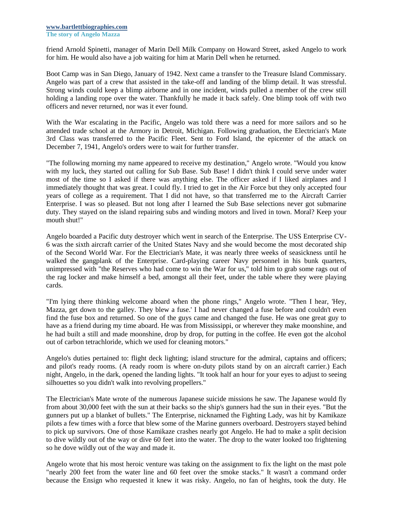friend Arnold Spinetti, manager of Marin Dell Milk Company on Howard Street, asked Angelo to work for him. He would also have a job waiting for him at Marin Dell when he returned.

Boot Camp was in San Diego, January of 1942. Next came a transfer to the Treasure Island Commissary. Angelo was part of a crew that assisted in the take-off and landing of the blimp detail. It was stressful. Strong winds could keep a blimp airborne and in one incident, winds pulled a member of the crew still holding a landing rope over the water. Thankfully he made it back safely. One blimp took off with two officers and never returned, nor was it ever found.

With the War escalating in the Pacific, Angelo was told there was a need for more sailors and so he attended trade school at the Armory in Detroit, Michigan. Following graduation, the Electrician's Mate 3rd Class was transferred to the Pacific Fleet. Sent to Ford Island, the epicenter of the attack on December 7, 1941, Angelo's orders were to wait for further transfer.

"The following morning my name appeared to receive my destination," Angelo wrote. "Would you know with my luck, they started out calling for Sub Base. Sub Base! I didn't think I could serve under water most of the time so I asked if there was anything else. The officer asked if I liked airplanes and I immediately thought that was great. I could fly. I tried to get in the Air Force but they only accepted four years of college as a requirement. That I did not have, so that transferred me to the Aircraft Carrier Enterprise. I was so pleased. But not long after I learned the Sub Base selections never got submarine duty. They stayed on the island repairing subs and winding motors and lived in town. Moral? Keep your mouth shut!"

Angelo boarded a Pacific duty destroyer which went in search of the Enterprise. The USS Enterprise CV-6 was the sixth aircraft carrier of the United States Navy and she would become the most decorated ship of the Second World War. For the Electrician's Mate, it was nearly three weeks of seasickness until he walked the gangplank of the Enterprise. Card-playing career Navy personnel in his bunk quarters, unimpressed with "the Reserves who had come to win the War for us," told him to grab some rags out of the rag locker and make himself a bed, amongst all their feet, under the table where they were playing cards.

"I'm lying there thinking welcome aboard when the phone rings," Angelo wrote. "Then I hear, 'Hey, Mazza, get down to the galley. They blew a fuse.' I had never changed a fuse before and couldn't even find the fuse box and returned. So one of the guys came and changed the fuse. He was one great guy to have as a friend during my time aboard. He was from Mississippi, or wherever they make moonshine, and he had built a still and made moonshine, drop by drop, for putting in the coffee. He even got the alcohol out of carbon tetrachloride, which we used for cleaning motors."

Angelo's duties pertained to: flight deck lighting; island structure for the admiral, captains and officers; and pilot's ready rooms. (A ready room is where on-duty pilots stand by on an aircraft carrier.) Each night, Angelo, in the dark, opened the landing lights. "It took half an hour for your eyes to adjust to seeing silhouettes so you didn't walk into revolving propellers."

The Electrician's Mate wrote of the numerous Japanese suicide missions he saw. The Japanese would fly from about 30,000 feet with the sun at their backs so the ship's gunners had the sun in their eyes. "But the gunners put up a blanket of bullets." The Enterprise, nicknamed the Fighting Lady, was hit by Kamikaze pilots a few times with a force that blew some of the Marine gunners overboard. Destroyers stayed behind to pick up survivors. One of those Kamikaze crashes nearly got Angelo. He had to make a split decision to dive wildly out of the way or dive 60 feet into the water. The drop to the water looked too frightening so he dove wildly out of the way and made it.

Angelo wrote that his most heroic venture was taking on the assignment to fix the light on the mast pole "nearly 200 feet from the water line and 60 feet over the smoke stacks." It wasn't a command order because the Ensign who requested it knew it was risky. Angelo, no fan of heights, took the duty. He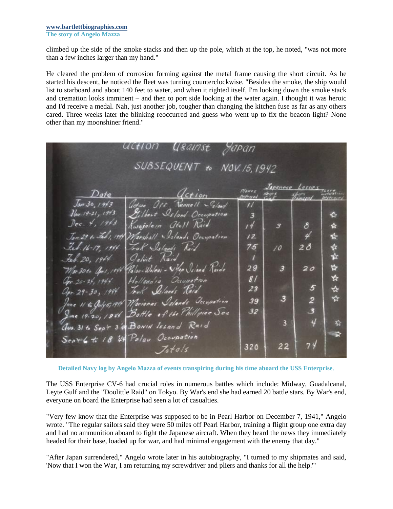## **[www.bartlettbiographies.com](http://www.bartlettbiographies.com/) The story of Angelo Mazza**

climbed up the side of the smoke stacks and then up the pole, which at the top, he noted, "was not more than a few inches larger than my hand."

He cleared the problem of corrosion forming against the metal frame causing the short circuit. As he started his descent, he noticed the fleet was turning counterclockwise. "Besides the smoke, the ship would list to starboard and about 140 feet to water, and when it righted itself, I'm looking down the smoke stack and cremation looks imminent – and then to port side looking at the water again. I thought it was heroic and I'd receive a medal. Nah, just another job, tougher than changing the kitchen fuse as far as any others cared. Three weeks later the blinking reoccurred and guess who went up to fix the beacon light? None other than my moonshiner friend."

|                             |                                                | uction ye <i>ams</i> t                                                                       | Japan                            |                         |                |        |
|-----------------------------|------------------------------------------------|----------------------------------------------------------------------------------------------|----------------------------------|-------------------------|----------------|--------|
| SUBSEQUENT to NOV. 15, 1942 |                                                |                                                                                              |                                  |                         |                |        |
|                             | Date                                           | $d$ ction                                                                                    | <b>Planes</b><br><b>Morrisod</b> | Japanese Lasses         |                |        |
|                             | $J_{\alpha n}$ 30, 19/3<br>$1$ lev 19-21, 1943 | action Occ Tennell Silond<br>Gilbert Island Occupation                                       | $^{\prime\prime}$                |                         |                |        |
|                             | Dec. 4, 1943                                   | Rwejelein atoll Raid                                                                         | $\overline{\mathbf{3}}$<br>14    | 3                       | 8              | ❖<br>☆ |
|                             | Jan. 29 to Feb 1, 1944                         | Marshall Salands Occupation                                                                  | $12^{1}$                         |                         | 4              | ⋭      |
|                             | Feb. 16-17, 1944                               | Fruk Islands Raid                                                                            | 75                               | 10                      | 28             | ✿      |
|                             | Feb. 20, 1944                                  | Galvit Kaid                                                                                  | 29                               | 3                       | 20             | ☆<br>4 |
|                             |                                                | Mar 30to Good, 1944 Palao-Wolcai - Wyo Scland Raids<br>Opr. 20-24, 1944 Hollandia Occupation | 8/                               |                         |                | ☆      |
|                             | apr. 29-30, 1944                               | Jour Sclauds Raid                                                                            | 23                               |                         | 5              | ☆      |
|                             |                                                | Tone 11 to Julys, 19th Marianas Schands Secupation                                           | 39                               | 3                       | $\overline{2}$ | ☆      |
|                             |                                                | Ime 19-20, 1946 Bottle of the Phillipine Sea                                                 | 32                               |                         | 3              |        |
|                             |                                                | aus. 31 to Sept 3 4 Bonin Island Raid                                                        |                                  | $\overline{\mathbf{3}}$ | 4              | 婚      |
|                             |                                                | Sept 6 to 18 48 Polar Occupation<br>Istals                                                   | 320                              | 22                      | 74             | ₩.     |

**Detailed Navy log by Angelo Mazza of events transpiring during his time aboard the USS Enterprise**.

The USS Enterprise CV-6 had crucial roles in numerous battles which include: Midway, Guadalcanal, Leyte Gulf and the "Doolittle Raid" on Tokyo. By War's end she had earned 20 battle stars. By War's end, everyone on board the Enterprise had seen a lot of casualties.

"Very few know that the Enterprise was supposed to be in Pearl Harbor on December 7, 1941," Angelo wrote. "The regular sailors said they were 50 miles off Pearl Harbor, training a flight group one extra day and had no ammunition aboard to fight the Japanese aircraft. When they heard the news they immediately headed for their base, loaded up for war, and had minimal engagement with the enemy that day."

"After Japan surrendered," Angelo wrote later in his autobiography, "I turned to my shipmates and said, 'Now that I won the War, I am returning my screwdriver and pliers and thanks for all the help.'"